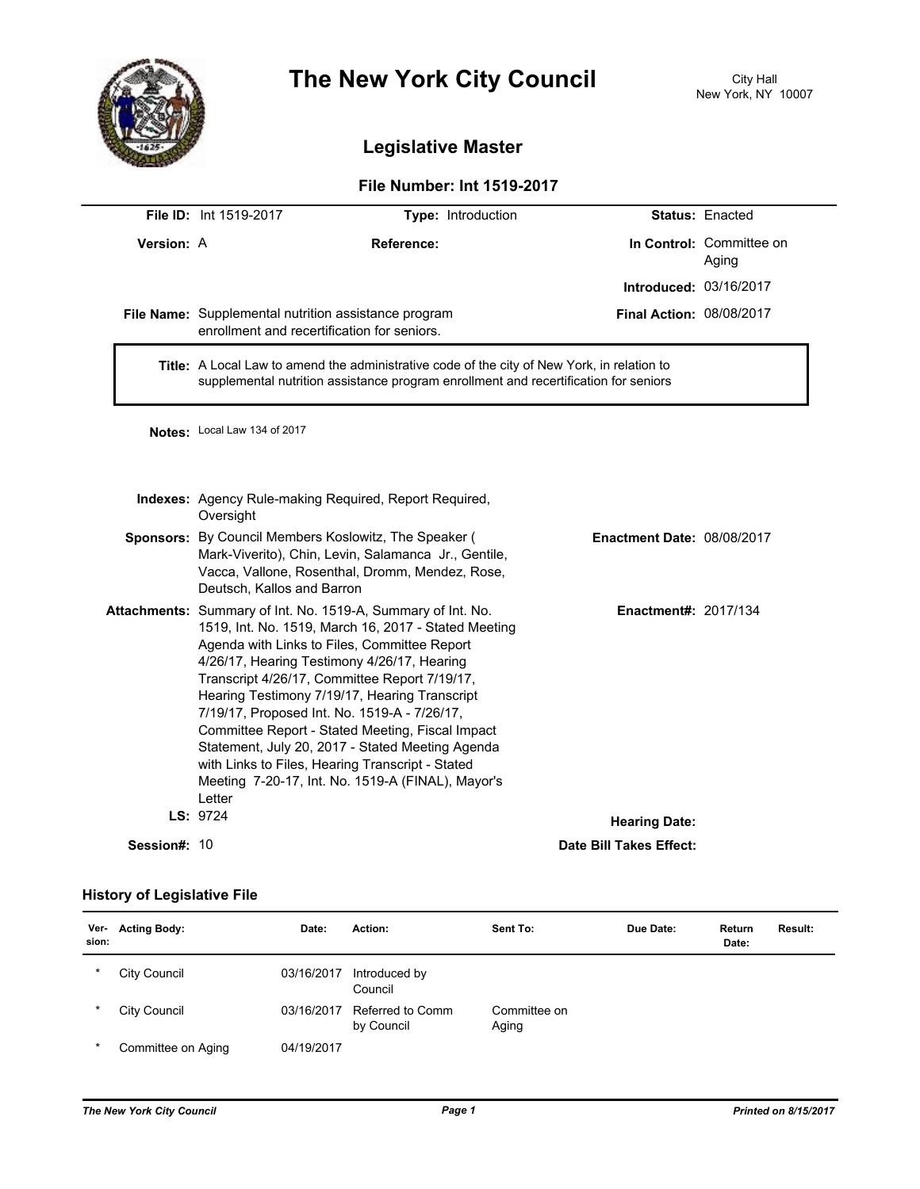

# **The New York City Council**

## **Legislative Master**

#### **File Number: Int 1519-2017**

|                     | <b>File ID: Int 1519-2017</b>                                                                                                                                                                                                                                                                                                                                                                                                                                                                                                                                                                    | Type: Introduction                                     |                             | <b>Status: Enacted</b>            |  |
|---------------------|--------------------------------------------------------------------------------------------------------------------------------------------------------------------------------------------------------------------------------------------------------------------------------------------------------------------------------------------------------------------------------------------------------------------------------------------------------------------------------------------------------------------------------------------------------------------------------------------------|--------------------------------------------------------|-----------------------------|-----------------------------------|--|
| Version: A          | Reference:                                                                                                                                                                                                                                                                                                                                                                                                                                                                                                                                                                                       |                                                        |                             | In Control: Committee on<br>Aging |  |
|                     |                                                                                                                                                                                                                                                                                                                                                                                                                                                                                                                                                                                                  |                                                        | Introduced: 03/16/2017      |                                   |  |
|                     | File Name: Supplemental nutrition assistance program<br>enrollment and recertification for seniors.                                                                                                                                                                                                                                                                                                                                                                                                                                                                                              |                                                        | Final Action: 08/08/2017    |                                   |  |
|                     | Title: A Local Law to amend the administrative code of the city of New York, in relation to<br>supplemental nutrition assistance program enrollment and recertification for seniors                                                                                                                                                                                                                                                                                                                                                                                                              |                                                        |                             |                                   |  |
|                     | Notes: Local Law 134 of 2017                                                                                                                                                                                                                                                                                                                                                                                                                                                                                                                                                                     |                                                        |                             |                                   |  |
|                     | Oversight                                                                                                                                                                                                                                                                                                                                                                                                                                                                                                                                                                                        | Indexes: Agency Rule-making Required, Report Required, |                             |                                   |  |
|                     | <b>Sponsors:</b> By Council Members Koslowitz, The Speaker (<br>Mark-Viverito), Chin, Levin, Salamanca Jr., Gentile,<br>Vacca, Vallone, Rosenthal, Dromm, Mendez, Rose,<br>Deutsch, Kallos and Barron                                                                                                                                                                                                                                                                                                                                                                                            | <b>Enactment Date: 08/08/2017</b>                      |                             |                                   |  |
|                     | Attachments: Summary of Int. No. 1519-A, Summary of Int. No.<br>1519, Int. No. 1519, March 16, 2017 - Stated Meeting<br>Agenda with Links to Files, Committee Report<br>4/26/17, Hearing Testimony 4/26/17, Hearing<br>Transcript 4/26/17, Committee Report 7/19/17,<br>Hearing Testimony 7/19/17, Hearing Transcript<br>7/19/17, Proposed Int. No. 1519-A - 7/26/17,<br>Committee Report - Stated Meeting, Fiscal Impact<br>Statement, July 20, 2017 - Stated Meeting Agenda<br>with Links to Files, Hearing Transcript - Stated<br>Meeting 7-20-17, Int. No. 1519-A (FINAL), Mayor's<br>Letter |                                                        | <b>Enactment#: 2017/134</b> |                                   |  |
|                     | LS: 9724                                                                                                                                                                                                                                                                                                                                                                                                                                                                                                                                                                                         |                                                        | <b>Hearing Date:</b>        |                                   |  |
| <b>Session#: 10</b> |                                                                                                                                                                                                                                                                                                                                                                                                                                                                                                                                                                                                  |                                                        | Date Bill Takes Effect:     |                                   |  |

### **History of Legislative File**

| Ver-<br>sion: | <b>Acting Body:</b> | Date:      | Action:                        | Sent To:              | Due Date: | Return<br>Date: | Result: |
|---------------|---------------------|------------|--------------------------------|-----------------------|-----------|-----------------|---------|
| $\ast$        | City Council        | 03/16/2017 | Introduced by<br>Council       |                       |           |                 |         |
| $\ast$        | City Council        | 03/16/2017 | Referred to Comm<br>by Council | Committee on<br>Aging |           |                 |         |
| $\ast$        | Committee on Aging  | 04/19/2017 |                                |                       |           |                 |         |